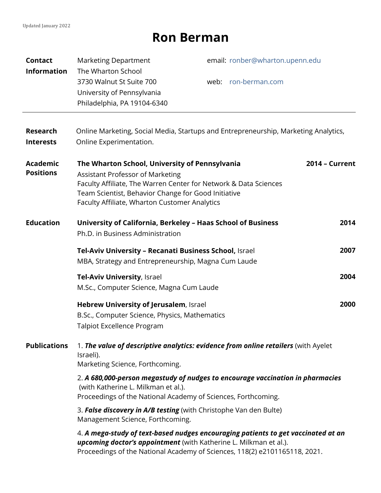## **Ron Berman**

| <b>Contact</b><br><b>Information</b> | <b>Marketing Department</b><br>The Wharton School<br>3730 Walnut St Suite 700<br>University of Pennsylvania<br>Philadelphia, PA 19104-6340                                                                                                                            | email: ronber@wharton.upenn.edu<br>web: ron-berman.com |
|--------------------------------------|-----------------------------------------------------------------------------------------------------------------------------------------------------------------------------------------------------------------------------------------------------------------------|--------------------------------------------------------|
| <b>Research</b><br><b>Interests</b>  | Online Marketing, Social Media, Startups and Entrepreneurship, Marketing Analytics,<br>Online Experimentation.                                                                                                                                                        |                                                        |
| <b>Academic</b><br><b>Positions</b>  | The Wharton School, University of Pennsylvania<br><b>Assistant Professor of Marketing</b><br>Faculty Affiliate, The Warren Center for Network & Data Sciences<br>Team Scientist, Behavior Change for Good Initiative<br>Faculty Affiliate, Wharton Customer Analytics | <b>2014 - Current</b>                                  |
| <b>Education</b>                     | University of California, Berkeley - Haas School of Business<br>2014<br>Ph.D. in Business Administration                                                                                                                                                              |                                                        |
|                                      | Tel-Aviv University - Recanati Business School, Israel<br>MBA, Strategy and Entrepreneurship, Magna Cum Laude                                                                                                                                                         | 2007                                                   |
|                                      | <b>Tel-Aviv University, Israel</b><br>M.Sc., Computer Science, Magna Cum Laude                                                                                                                                                                                        | 2004                                                   |
|                                      | Hebrew University of Jerusalem, Israel<br>B.Sc., Computer Science, Physics, Mathematics<br><b>Talpiot Excellence Program</b>                                                                                                                                          | 2000                                                   |
| <b>Publications</b>                  | 1. The value of descriptive analytics: evidence from online retailers (with Ayelet<br>Israeli).<br>Marketing Science, Forthcoming.                                                                                                                                    |                                                        |
|                                      | 2. A 680,000-person megastudy of nudges to encourage vaccination in pharmacies<br>(with Katherine L. Milkman et al.).<br>Proceedings of the National Academy of Sciences, Forthcoming.                                                                                |                                                        |
|                                      | 3. False discovery in A/B testing (with Christophe Van den Bulte)<br>Management Science, Forthcoming.                                                                                                                                                                 |                                                        |
|                                      | 4. A mega-study of text-based nudges encouraging patients to get vaccinated at an<br><b>upcoming doctor's appointment</b> (with Katherine L. Milkman et al.).<br>Proceedings of the National Academy of Sciences, 118(2) e2101165118, 2021.                           |                                                        |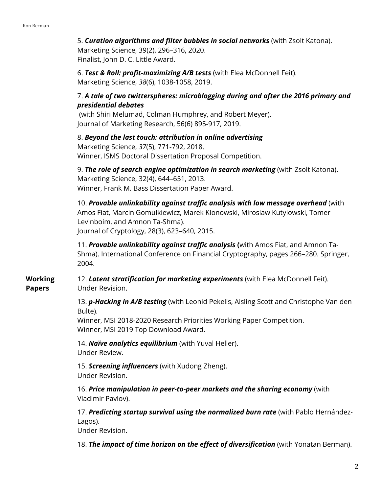5. *Curation algorithms and filter bubbles in social networks* (with Zsolt Katona).

Marketing Science, 39(2), 296–316, 2020. Finalist, John D. C. Little Award.

6. *Test & Roll: profit-maximizing A/B tests* (with Elea McDonnell Feit). Marketing Science, *38*(6), 1038-1058, 2019.

## 7. *A tale of two twitterspheres: microblogging during and after the 2016 primary and presidential debates*

(with Shiri Melumad, Colman Humphrey, and Robert Meyer). Journal of Marketing Research, 56(6) 895-917, 2019.

## 8. *Beyond the last touch: attribution in online advertising*

Marketing Science, *37*(5), 771-792, 2018. Winner, ISMS Doctoral Dissertation Proposal Competition.

9. *The role of search engine optimization in search marketing* (with Zsolt Katona). Marketing Science, 32(4), 644–651, 2013. Winner, Frank M. Bass Dissertation Paper Award.

10. *Provable unlinkability against traffic analysis with low message overhead* (with Amos Fiat, Marcin Gomulkiewicz, Marek Klonowski, Miroslaw Kutylowski, Tomer Levinboim, and Amnon Ta-Shma). Journal of Cryptology, 28(3), 623–640, 2015.

11. *Provable unlinkability against traffic analysis* **(**with Amos Fiat, and Amnon Ta-Shma). International Conference on Financial Cryptography, pages 266–280. Springer, 2004.

**Working Papers** 12. *Latent stratification for marketing experiments* (with Elea McDonnell Feit). Under Revision.

> 13. *p-Hacking in A/B testing* (with Leonid Pekelis, Aisling Scott and Christophe Van den Bulte).

Winner, MSI 2018-2020 Research Priorities Working Paper Competition. Winner, MSI 2019 Top Download Award.

14. *Naïve analytics equilibrium* (with Yuval Heller). Under Review.

15. *Screening influencers* (with Xudong Zheng). Under Revision.

16. *Price manipulation in peer-to-peer markets and the sharing economy* (with Vladimir Pavlov).

17. *Predicting startup survival using the normalized burn rate* (with Pablo Hernández-Lagos).

Under Revision.

18. *The impact of time horizon on the effect of diversification* (with Yonatan Berman).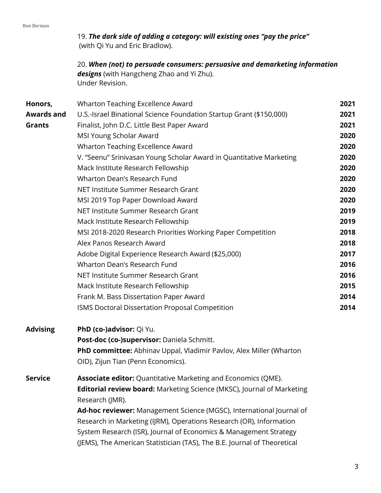19. *The dark side of adding a category: will existing ones "pay the price"* (with Qi Yu and Eric Bradlow).

20. *When (not) to persuade consumers: persuasive and demarketing information designs* (with Hangcheng Zhao and Yi Zhu). Under Revision.

| Honors,           | Wharton Teaching Excellence Award                                                                | 2021 |
|-------------------|--------------------------------------------------------------------------------------------------|------|
| <b>Awards and</b> | U.S.-Israel Binational Science Foundation Startup Grant (\$150,000)                              | 2021 |
| <b>Grants</b>     | Finalist, John D.C. Little Best Paper Award                                                      | 2021 |
|                   | MSI Young Scholar Award                                                                          | 2020 |
|                   | Wharton Teaching Excellence Award                                                                | 2020 |
|                   | V. "Seenu" Srinivasan Young Scholar Award in Quantitative Marketing                              | 2020 |
|                   | Mack Institute Research Fellowship                                                               | 2020 |
|                   | Wharton Dean's Research Fund                                                                     | 2020 |
|                   | NET Institute Summer Research Grant                                                              | 2020 |
|                   | MSI 2019 Top Paper Download Award                                                                | 2020 |
|                   | NET Institute Summer Research Grant                                                              | 2019 |
|                   | Mack Institute Research Fellowship                                                               | 2019 |
|                   | MSI 2018-2020 Research Priorities Working Paper Competition                                      | 2018 |
|                   | Alex Panos Research Award                                                                        | 2018 |
|                   | Adobe Digital Experience Research Award (\$25,000)                                               | 2017 |
|                   | Wharton Dean's Research Fund                                                                     | 2016 |
|                   | NET Institute Summer Research Grant                                                              | 2016 |
|                   | Mack Institute Research Fellowship                                                               | 2015 |
|                   | Frank M. Bass Dissertation Paper Award                                                           | 2014 |
|                   | ISMS Doctoral Dissertation Proposal Competition                                                  | 2014 |
| <b>Advising</b>   | PhD (co-)advisor: Qi Yu.                                                                         |      |
|                   | Post-doc (co-)supervisor: Daniela Schmitt.                                                       |      |
|                   | PhD committee: Abhinav Uppal, Vladimir Pavlov, Alex Miller (Wharton                              |      |
|                   | OID), Zijun Tian (Penn Economics).                                                               |      |
| <b>Service</b>    | <b>Associate editor:</b> Quantitative Marketing and Economics (QME).                             |      |
|                   | <b>Editorial review board:</b> Marketing Science (MKSC), Journal of Marketing<br>Research (JMR). |      |
|                   | Ad-hoc reviewer: Management Science (MGSC), International Journal of                             |      |
|                   | $Dosecuch$ in $Mouleation (IDIM)$ $Oosecation$ $Dosecuch (OD)$ $Inforreative$                    |      |

Research in Marketing (IJRM), Operations Research (OR), Information System Research (ISR), Journal of Economics & Management Strategy (JEMS), The American Statistician (TAS), The B.E. Journal of Theoretical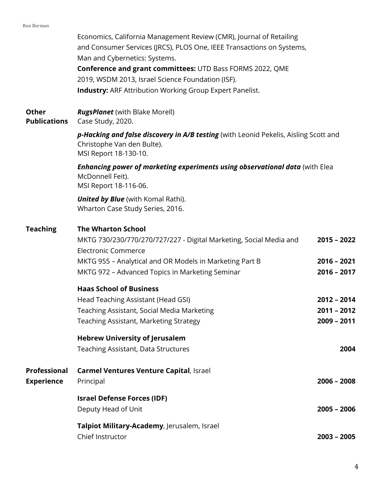Economics, California Management Review (CMR), Journal of Retailing and Consumer Services (JRCS), PLOS One, IEEE Transactions on Systems, Man and Cybernetics: Systems. **Conference and grant committees:** UTD Bass FORMS 2022, QME 2019, WSDM 2013, Israel Science Foundation (ISF). **Industry:** ARF Attribution Working Group Expert Panelist.

**Other**  *RugsPlanet* (with Blake Morell)

**Publications** Case Study, 2020.

> *p-Hacking and false discovery in A/B testing* (with Leonid Pekelis, Aisling Scott and Christophe Van den Bulte). MSI Report 18-130-10.

*Enhancing power of marketing experiments using observational data* (with Elea McDonnell Feit). MSI Report 18-116-06.

*United by Blue* (with Komal Rathi). Wharton Case Study Series, 2016.

## **Teaching The Wharton School**

|                   | MKTG 730/230/770/270/727/227 - Digital Marketing, Social Media and<br><b>Electronic Commerce</b> | $2015 - 2022$ |
|-------------------|--------------------------------------------------------------------------------------------------|---------------|
|                   | MKTG 955 - Analytical and OR Models in Marketing Part B                                          | $2016 - 2021$ |
|                   | MKTG 972 - Advanced Topics in Marketing Seminar                                                  | $2016 - 2017$ |
|                   | <b>Haas School of Business</b>                                                                   |               |
|                   | Head Teaching Assistant (Head GSI)                                                               | $2012 - 2014$ |
|                   | Teaching Assistant, Social Media Marketing                                                       | $2011 - 2012$ |
|                   | Teaching Assistant, Marketing Strategy                                                           | $2009 - 2011$ |
|                   | <b>Hebrew University of Jerusalem</b>                                                            |               |
|                   | Teaching Assistant, Data Structures                                                              | 2004          |
| Professional      | <b>Carmel Ventures Venture Capital, Israel</b>                                                   |               |
| <b>Experience</b> | Principal                                                                                        | $2006 - 2008$ |
|                   | <b>Israel Defense Forces (IDF)</b>                                                               |               |
|                   | Deputy Head of Unit                                                                              | $2005 - 2006$ |
|                   | Talpiot Military-Academy, Jerusalem, Israel                                                      |               |
|                   | Chief Instructor                                                                                 | $2003 - 2005$ |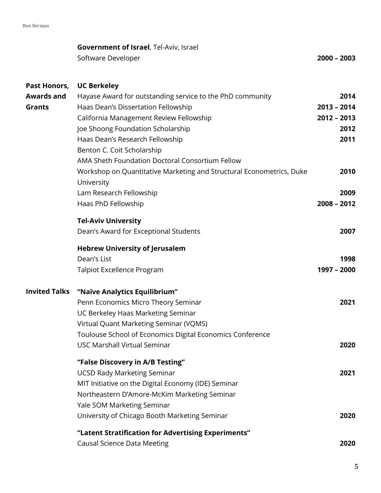|                   | <b>Government of Israel, Tel-Aviv, Israel</b><br>Software Developer | $2000 - 2003$ |
|-------------------|---------------------------------------------------------------------|---------------|
|                   | Past Honors, UC Berkeley                                            |               |
| <b>Awards and</b> | Hayase Award for outstanding service to the PhD community           | 2014          |
| Grants            | Haas Dean's Dissertation Fellowship                                 | 2013 - 2014   |

| <b>Grants</b>        | Haas Dean's Dissertation Fellowship                                  | $2013 - 2014$ |
|----------------------|----------------------------------------------------------------------|---------------|
|                      | California Management Review Fellowship                              | $2012 - 2013$ |
|                      | Joe Shoong Foundation Scholarship                                    | 2012          |
|                      | Haas Dean's Research Fellowship                                      | 2011          |
|                      | Benton C. Coit Scholarship                                           |               |
|                      | AMA Sheth Foundation Doctoral Consortium Fellow                      |               |
|                      | Workshop on Quantitative Marketing and Structural Econometrics, Duke | 2010          |
|                      | University                                                           |               |
|                      | Lam Research Fellowship                                              | 2009          |
|                      | Haas PhD Fellowship                                                  | $2008 - 2012$ |
|                      | <b>Tel-Aviv University</b>                                           |               |
|                      | Dean's Award for Exceptional Students                                | 2007          |
|                      | <b>Hebrew University of Jerusalem</b>                                |               |
|                      | Dean's List                                                          | 1998          |
|                      | <b>Talpiot Excellence Program</b>                                    | 1997 - 2000   |
| <b>Invited Talks</b> | "Naïve Analytics Equilibrium"                                        |               |
|                      | Penn Economics Micro Theory Seminar                                  | 2021          |
|                      | UC Berkeley Haas Marketing Seminar                                   |               |
|                      | Virtual Quant Marketing Seminar (VQMS)                               |               |
|                      | Toulouse School of Economics Digital Economics Conference            |               |
|                      | <b>USC Marshall Virtual Seminar</b>                                  | 2020          |
|                      | "False Discovery in A/B Testing"                                     |               |
|                      | <b>UCSD Rady Marketing Seminar</b>                                   | 2021          |
|                      | MIT Initiative on the Digital Economy (IDE) Seminar                  |               |
|                      | Northeastern D'Amore-McKim Marketing Seminar                         |               |
|                      | Yale SOM Marketing Seminar                                           |               |

- University of Chicago Booth Marketing Seminar **2020 "Latent Stratification for Advertising Experiments"**
- Causal Science Data Meeting **2020**

5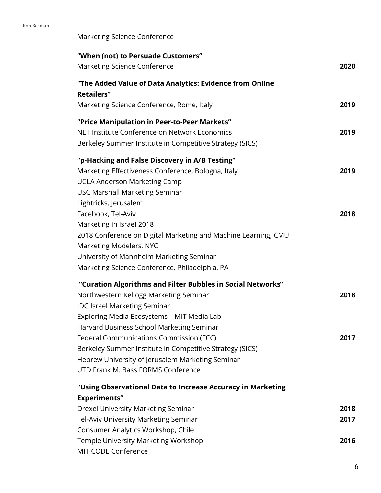Marketing Science Conference

| "When (not) to Persuade Customers"<br><b>Marketing Science Conference</b>                                                                                                                                                                                                                                                                                                                                                                | 2020                 |
|------------------------------------------------------------------------------------------------------------------------------------------------------------------------------------------------------------------------------------------------------------------------------------------------------------------------------------------------------------------------------------------------------------------------------------------|----------------------|
| "The Added Value of Data Analytics: Evidence from Online<br><b>Retailers"</b>                                                                                                                                                                                                                                                                                                                                                            |                      |
| Marketing Science Conference, Rome, Italy                                                                                                                                                                                                                                                                                                                                                                                                | 2019                 |
| "Price Manipulation in Peer-to-Peer Markets"<br>NET Institute Conference on Network Economics<br>Berkeley Summer Institute in Competitive Strategy (SICS)                                                                                                                                                                                                                                                                                | 2019                 |
| "p-Hacking and False Discovery in A/B Testing"<br>Marketing Effectiveness Conference, Bologna, Italy<br><b>UCLA Anderson Marketing Camp</b><br><b>USC Marshall Marketing Seminar</b><br>Lightricks, Jerusalem                                                                                                                                                                                                                            | 2019                 |
| Facebook, Tel-Aviv<br>Marketing in Israel 2018<br>2018 Conference on Digital Marketing and Machine Learning, CMU<br>Marketing Modelers, NYC<br>University of Mannheim Marketing Seminar<br>Marketing Science Conference, Philadelphia, PA                                                                                                                                                                                                | 2018                 |
| "Curation Algorithms and Filter Bubbles in Social Networks"<br>Northwestern Kellogg Marketing Seminar<br><b>IDC Israel Marketing Seminar</b><br>Exploring Media Ecosystems - MIT Media Lab<br>Harvard Business School Marketing Seminar<br>Federal Communications Commission (FCC)<br>Berkeley Summer Institute in Competitive Strategy (SICS)<br>Hebrew University of Jerusalem Marketing Seminar<br>UTD Frank M. Bass FORMS Conference | 2018<br>2017         |
| "Using Observational Data to Increase Accuracy in Marketing<br><b>Experiments"</b><br>Drexel University Marketing Seminar<br>Tel-Aviv University Marketing Seminar<br>Consumer Analytics Workshop, Chile<br>Temple University Marketing Workshop<br>MIT CODE Conference                                                                                                                                                                  | 2018<br>2017<br>2016 |